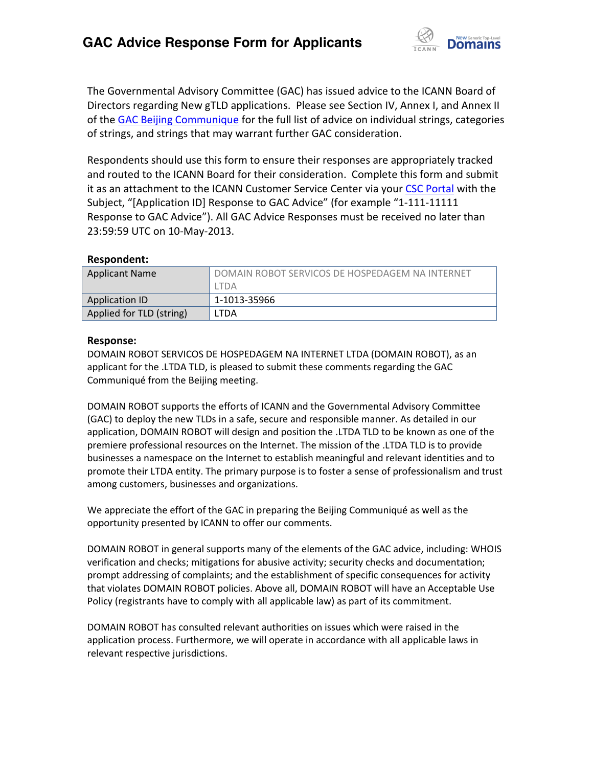

The Governmental Advisory Committee (GAC) has issued advice to the ICANN Board of Directors regarding New gTLD applications. Please see Section IV, Annex I, and Annex II of th[e GAC Beijing Communique](http://www.icann.org/en/news/correspondence/gac-to-board-18apr13-en.pdf) for the full list of advice on individual strings, categories of strings, and strings that may warrant further GAC consideration.

Respondents should use this form to ensure their responses are appropriately tracked and routed to the ICANN Board for their consideration. Complete this form and submit it as an attachment to the ICANN Customer Service Center via your CSC [Portal](https://myicann.secure.force.com/) with the Subject, "[Application ID] Response to GAC Advice" (for example "1-111-11111 Response to GAC Advice"). All GAC Advice Responses must be received no later than 23:59:59 UTC on 10-May-2013.

## **Respondent:**

| <b>Applicant Name</b>    | DOMAIN ROBOT SERVICOS DE HOSPEDAGEM NA INTERNET |
|--------------------------|-------------------------------------------------|
|                          | ltda                                            |
| Application ID           | 1-1013-35966                                    |
| Applied for TLD (string) | LTDA                                            |

## **Response:**

DOMAIN ROBOT SERVICOS DE HOSPEDAGEM NA INTERNET LTDA (DOMAIN ROBOT), as an applicant for the .LTDA TLD, is pleased to submit these comments regarding the GAC Communiqué from the Beijing meeting.

DOMAIN ROBOT supports the efforts of ICANN and the Governmental Advisory Committee (GAC) to deploy the new TLDs in a safe, secure and responsible manner. As detailed in our application, DOMAIN ROBOT will design and position the .LTDA TLD to be known as one of the premiere professional resources on the Internet. The mission of the .LTDA TLD is to provide businesses a namespace on the Internet to establish meaningful and relevant identities and to promote their LTDA entity. The primary purpose is to foster a sense of professionalism and trust among customers, businesses and organizations.

We appreciate the effort of the GAC in preparing the Beijing Communiqué as well as the opportunity presented by ICANN to offer our comments.

DOMAIN ROBOT in general supports many of the elements of the GAC advice, including: WHOIS verification and checks; mitigations for abusive activity; security checks and documentation; prompt addressing of complaints; and the establishment of specific consequences for activity that violates DOMAIN ROBOT policies. Above all, DOMAIN ROBOT will have an Acceptable Use Policy (registrants have to comply with all applicable law) as part of its commitment.

DOMAIN ROBOT has consulted relevant authorities on issues which were raised in the application process. Furthermore, we will operate in accordance with all applicable laws in relevant respective jurisdictions.